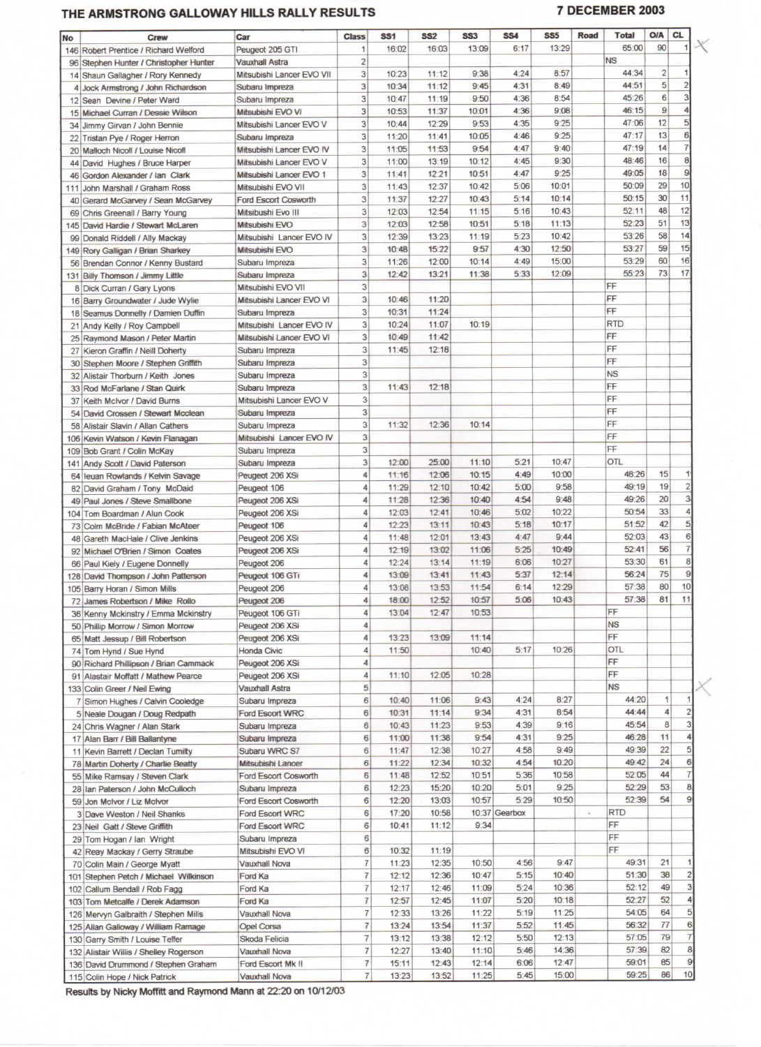## **THE ARMSTRONG GALLOWAY HILLS RALLY RESULTS 7 DECEMBER 2003**

| <b>No</b> | <b>Crew</b>                            | Car                       | <b>Class</b>   | <b>SS1</b> | <b>SS2</b> | <b>SS3</b> | <b>SS4</b>    | SS <sub>5</sub> | Road | <b>Total</b> | <b>O/A</b>     | <b>CL</b>      |
|-----------|----------------------------------------|---------------------------|----------------|------------|------------|------------|---------------|-----------------|------|--------------|----------------|----------------|
|           | 146 Robert Prentice / Richard Welford  | Peugeot 205 GTI           | 1              | 16:02      | 16:03      | 13:09      | 6:17          | 13:29           |      | 65:00        | 90             |                |
|           | 96 Stephen Hunter / Christopher Hunter | Vauxhall Astra            | $\overline{c}$ |            |            |            |               |                 |      | <b>NS</b>    |                |                |
|           | 14 Shaun Gallagher / Rory Kennedy      | Mitsubishi Lancer EVO VII | 3              | 10:23      | 11:12      | 9:38       | 4:24          | 8:57            |      | 44:34        | $\overline{2}$ |                |
|           | 4 Jock Armstrong / John Richardson     | Subaru Impreza            | $\overline{3}$ | 10:34      | 11:12      | 9:45       | 4:31          | 8:49            |      | 44:51        | 5              |                |
|           | 12 Sean Devine / Peter Ward            | Subaru Impreza            | 3              | 10:47      | 11:19      | 9:50       | 4:36          | 8:54            |      | 45:26        | 6              | 3              |
|           | 15 Michael Curran / Dessie Wilson      | Mitsubishi EVO VI         | 3              | 10:53      | 11:37      | 10:01      | 4:36          | 9:08            |      | 46:15        | 9              |                |
|           |                                        | Mitsubishi Lancer EVO V   | 3              | 10:44      | 12:29      | 9:53       | 4:35          | 9:25            |      | 47:06        | 12             | 5              |
|           | 34 Jimmy Girvan / John Bennie          |                           | 3              | 11:20      | 11:41      | 10:05      | 4:46          | 9:25            |      | 47:17        | 13             | 6              |
| 22        | Tristan Pye / Roger Herron             | Subaru Impreza            | 3              | 11:05      | 11:53      | 9:54       | 4:47          | 9:40            |      | 47:19        | 14             | $\overline{7}$ |
| 20        | Malloch Nicoll / Louise Nicoll         | Mitsubishi Lancer EVO IV  | 3              |            | 13:19      | 10:12      | 4:45          | 9:30            |      | 48:46        | 16             | 8              |
|           | 44 David Hughes / Bruce Harper         | Mitsubishi Lancer EVO V   |                | 11:00      |            |            | 4:47          | 9:25            |      | 49:05        | 18             | 9              |
| 46        | Gordon Alexander / Ian Clark           | Mitsubishi Lancer EVO 1   | 3              | 11:41      | 12:21      | 10:51      |               |                 |      | 50:09        | 29             | 10             |
| 111       | John Marshall / Graham Ross            | Mitsubishi EVO VII        | 3              | 11:43      | 12:37      | 10:42      | 5:06          | 10:01           |      |              | 30             | 11             |
|           | Gerard McGarvey / Sean McGarvey        | Ford Escort Cosworth      | 3              | 11:37      | 12:27      | 10:43      | 5:14          | 10:14           |      | 50:15        |                | 12             |
|           | 69 Chris Greenall / Barry Young        | Mitsibushi Evo III        | 3              | 12:03      | 12:54      | 11:15      | 5:16          | 10:43           |      | 52:11        | 48             | 13             |
| 145       | David Hardie / Stewart McLaren         | Mitsubishi EVO            | 3              | 12:03      | 12:58      | 10:51      | 5:18          | 11:13           |      | 52:23        | 51             |                |
| 99        | Donald Riddell / Ally Mackay           | Mitsubishi Lancer EVO IV  | 3              | 12:39      | 13:23      | 11:19      | 5:23          | 10:42           |      | 53:26        | 58             | 14             |
|           | 149 Rory Galligan / Brian Sharkey      | Mitsubishi EVO            | 3              | 10:48      | 15:22      | 9:57       | 4:30          | 12:50           |      | 53:27        | 59             | 15             |
|           | 56 Brendan Connor / Kenny Bustard      | Subaru Impreza            | 3              | 11:26      | 12:00      | 10:14      | 4:49          | 15:00           |      | 53:29        | 60             | 16             |
|           | 131 Billy Thomson / Jimmy Little       | Subaru Impreza            | 3              | 12:42      | 13:21      | 11:38      | 5:33          | 12:09           |      | 55:23        | 73             | 17             |
|           | 8 Dick Curran / Gary Lyons             | Mitsubishi EVO VII        | 3              |            |            |            |               |                 |      | FF           |                |                |
|           | 16 Barry Groundwater / Jude Wylie      | Mitsubishi Lancer EVO VI  | 3              | 10:46      | 11:20      |            |               |                 |      | FF           |                |                |
| 18        | Seamus Donnelly / Damien Duffin        | Subaru Impreza            | 3              | 10:31      | 11:24      |            |               |                 |      | FF           |                |                |
|           | 21 Andy Kelly / Roy Campbell           | Mitsubishi Lancer EVO IV  | 3              | 10:24      | 11:07      | 10:19      |               |                 |      | <b>RTD</b>   |                |                |
| 25        | Raymond Mason / Peter Martin           | Mitsubishi Lancer EVO VI  | 3              | 10:49      | 11:42      |            |               |                 |      | FF           |                |                |
| 27        | Kieron Graffin / Neill Doherty         | Subaru Impreza            | 3              | 11:45      | 12:18      |            |               |                 |      | FF           |                |                |
| 30        | Stephen Moore / Stephen Griffith       | Subaru Impreza            | 3              |            |            |            |               |                 |      | FF           |                |                |
|           | 32 Alistair Thorburn / Keith Jones     | Subaru Impreza            | 3              |            |            |            |               |                 |      | <b>NS</b>    |                |                |
|           | 33 Rod McFarlane / Stan Quirk          | Subaru Impreza            | $\overline{3}$ | 11:43      | 12:18      |            |               |                 |      | FF           |                |                |
|           | 37 Keith McIvor / David Burns          | Mitsubishi Lancer EVO V   | 3              |            |            |            |               |                 |      | FF           |                |                |
|           | 54 David Crossen / Stewart Mcclean     | Subaru Impreza            | $\overline{3}$ |            |            |            |               |                 |      | FF           |                |                |
| 58        | Alistair Slavin / Allan Cathers        | Subaru Impreza            | 3              | 11:32      | 12:36      | 10:14      |               |                 |      | FF           |                |                |
|           | 106 Kevin Watson / Kevin Flanagan      | Mitsubishi Lancer EVO IV  | 3 <sup>1</sup> |            |            |            |               |                 |      | FF           |                |                |
|           | 109 Bob Grant / Colin McKay            | Subaru Impreza            | 3              |            |            |            |               |                 |      | FF           |                |                |
|           | 141 Andy Scott / David Paterson        | Subaru Impreza            | 3              | 12:00      | 25:00      | 11:10      | 5:21          | 10:47           |      | <b>OTL</b>   |                |                |
| 64        | leuan Rowlands / Kelvin Savage         | Peugeot 206 XSi           | 4              | 11:16      | 12:06      | 10:15      | 4:49          | 10:00           |      | 48:26        | 15             |                |
|           | 82 David Graham / Tony McDaid          | Peugeot 106               | $\overline{4}$ | 11:29      | 12:10      | 10:42      | 5:00          | 9:58            |      | 49:19        | 19             |                |
| 49        | Paul Jones / Steve Smallbone           | Peugeot 206 XSi           | 4              | 11:28      | 12:36      | 10:40      | 4:54          | 9:48            |      | 49:26        | 20             |                |
|           | 104 Tom Boardman / Alun Cook           | Peugeot 206 XSi           | $\overline{4}$ | 12:03      | 12:41      | 10:46      | 5:02          | 10:22           |      | 50:54        | 33             |                |
|           | Colm McBride / Fabian McAteer          | Peugeot 106               | 4              | $12 - 23$  | 13:11      | 10:43      | 5:18          | 10:17           |      | 51:52        | 42             | $\overline{5}$ |
| 73        | Gareth MacHale / Clive Jenkins         | Peugeot 206 XSi           | 4              | 11:48      | 12:01      | 13:43      | 4:47          | 9:44            |      | 52:03        | 43             | 6              |
| 48        |                                        |                           | $\overline{4}$ | 12:19      | 13:02      | 11:06      | 5:25          | 10:49           |      | 52:41        | 56             |                |
|           | 92 Michael O'Brien / Simon Coates      | Peugeot 206 XSi           | 4              | 12:24      | 13:14      | 11:19      | 6:06          | 10:27           |      | 53:30        | 61             | 8              |
|           | 66 Paul Kiely / Eugene Donnelly        | Peugeot 206               |                |            |            |            | 5:37          | 12:14           |      | 56:24        | 75             | $\overline{9}$ |
|           | 128 David Thompson / John Patterson    | Peugeot 106 GTi           | 4              | 13:09      | 13:41      | 11:43      |               |                 |      |              |                |                |
|           | 105 Barry Horan / Simon Mills          | Peugeot 206               | 4              | 13:08      | 13:53      | 11:54      | 6:14          | 12:29           |      | 57:38        | 80             | 10             |
|           | 72 James Robertson / Mike Rollo        | Peugeot 206               | $\overline{4}$ | 18:00      | 12:52      | 10:57      | 5:06          | 10:43           |      | 57:38        | 81             | 11             |
|           | 36 Kenny Mckinstry / Emma Mckinstry    | Peugeot 106 GTi           | 4              | 13:04      | 12:47      | 10:53      |               |                 |      | FF           |                |                |
|           | 50 Phillip Morrow / Simon Morrow       | Peugeot 206 XSi           | 4              |            |            |            |               |                 |      | <b>NS</b>    |                |                |
|           | 65 Matt Jessup / Bill Robertson        | Peugeot 206 XSi           | 4              | 13:23      | 13:09      | 11:14      |               |                 |      | FF           |                |                |
|           | 74 Tom Hynd / Sue Hynd                 | Honda Civic               | 4              | 11:50      |            | 10:40      | 5:17          | 10:26           |      | OTL          |                |                |
|           | 90 Richard Phillipson / Brian Cammack  | Peugeot 206 XSi           | 4              |            |            |            |               |                 |      | FF           |                |                |
|           | 91 Alastair Moffatt / Mathew Pearce    | Peugeot 206 XSi           | 4              | 11:10      | 12:05      | 10:28      |               |                 |      | FF           |                |                |
|           | 133 Colin Greer / Neil Ewing           | Vauxhall Astra            | 5              |            |            |            |               |                 |      | <b>NS</b>    |                |                |
|           | 7 Simon Hughes / Calvin Cooledge       | Subaru Impreza            | 6              | 10:40      | 11:06      | 9:43       | 4:24          | 8:27            |      | 44:20        | 1              |                |
|           | 5 Neale Dougan / Doug Redpath          | <b>Ford Escort WRC</b>    | 6              | 10:31      | 11:14      | 9:34       | 4:31          | 8:54            |      | 44:44        | 4              | 2              |
|           | 24 Chris Wagner / Alan Stark           | Subaru Impreza            | 6              | 10:43      | 11:23      | 9:53       | 4:39          | 9:16            |      | 45:54        | 8              | 3              |
|           | 17 Alan Barr / Bill Ballantyne         | Subaru Impreza            | $6\phantom{.}$ | 11:00      | 11:38      | 9:54       | 4:31          | 9:25            |      | 46:28        | 11             |                |
|           | 11 Kevin Barrett / Declan Tumilty      | Subaru WRC S7             | 6              | 11:47      | 12:38      | 10:27      | 4:58          | 9:49            |      | 49:39        | 22             | 5              |
|           | 78 Martin Doherty / Charlie Beatty     | Mitsubishi Lancer         | 6              | 11:22      | 12:34      | 10:32      | 4:54          | 10:20           |      | 49:42        | 24             | 6              |
|           | 55 Mike Ramsay / Steven Clark          | Ford Escort Cosworth      | 6              | 11:48      | 12:52      | 10:51      | 5:36          | 10:58           |      | 52:05        | 44             | $\overline{7}$ |
|           | 28 Ian Paterson / John McCulloch       | Subaru Impreza            | 6              | 12:23      | 15:20      | 10:20      | 5:01          | 9:25            |      | 52:29        | 53             | 8              |
|           | 59 Jon McIvor / Liz McIvor             | Ford Escort Cosworth      | $6\phantom{1}$ | 12:20      | 13:03      | 10:57      | 5:29          | 10:50           |      | 52:39        | 54             |                |
|           | 3 Dave Weston / Neil Shanks            | <b>Ford Escort WRC</b>    | 6              | 17:20      | 10:58      |            | 10:37 Gearbox |                 | ×    | RTD          |                |                |
|           | 23 Neil Gatt / Steve Griffith          | <b>Ford Escort WRC</b>    | 6              | 10:41      | 11:12      | 9:34       |               |                 |      | FF           |                |                |
|           | 29 Tom Hogan / Ian Wright              | Subaru Impreza            | 6              |            |            |            |               |                 |      | FF           |                |                |
|           | 42 Reay Mackay / Gerry Straube         | Mitsubishi EVO VI         | 6              | 10:32      | 11:19      |            |               |                 |      | FF           |                |                |
|           | 70 Colin Main / George Myatt           | Vauxhall Nova             | $\overline{7}$ | 11:23      | 12:35      | 10:50      | 4:56          | 9:47            |      | 49:31        | 21             |                |
| 101       | Stephen Petch / Michael Wilkinson      | Ford Ka                   | $\overline{t}$ | 12:12      | 12:36      | 10:47      | 5:15          | 10:40           |      | 51:30        | 38             | $\overline{c}$ |
| 102       | Callum Bendall / Rob Fagg              | Ford Ka                   | $\overline{7}$ | 12:17      | 12:46      | 11:09      | 5:24          | 10:36           |      | 52:12        | 49             | 3              |
|           | 103 Tom Metcalfe / Derek Adamson       | Ford Ka                   | $\overline{7}$ | 12:57      | 12:45      | 11:07      | 5:20          | 10:18           |      | 52:27        | 52             | 4              |
|           |                                        | Vauxhall Nova             | $\overline{7}$ | 12:33      | 13:26      | 11:22      | 5:19          | 11:25           |      | 54:05        | 64             | 5              |
| 126       | Mervyn Galbraith / Stephen Mills       |                           | 7              | 13:24      | 13:54      | 11:37      | 5:52          | 11:45           |      | 56:32        | 77             | 6              |
|           | 125 Allan Galloway / William Ramage    | Opel Corsa                |                |            |            |            | 5:50          | 12:13           |      | 57:05        | 79             | $\overline{7}$ |
|           | 130 Garry Smith / Louise Telfer        | Skoda Felicia             | $\overline{7}$ | 13:12      | 13:38      | 12:12      |               |                 |      |              | 82             |                |
|           | 132 Alistair Willis / Shelley Rogerson | Vauxhall Nova             | $\overline{7}$ | 12:27      | 13:40      | 11:10      | 5:46          | 14:36           |      | 57:39        |                | 8<br>9         |
|           | 136 David Drummond / Stephen Graham    | Ford Escort Mk II         | 7              | 15:11      | 12:43      | 12:14      | 6:06          | 12:47           |      | 59:01        | 85             |                |
|           | 115 Colin Hope / Nick Patrick          | Vauxhall Nova             | $\overline{I}$ | 13:23      | 13:52      | 11:25      | 5:45          | 15:00           |      | 59:25        | 86             | 10             |

Results by Nicky Moffitt and Raymond Mann at 22:20 on 10/12/03